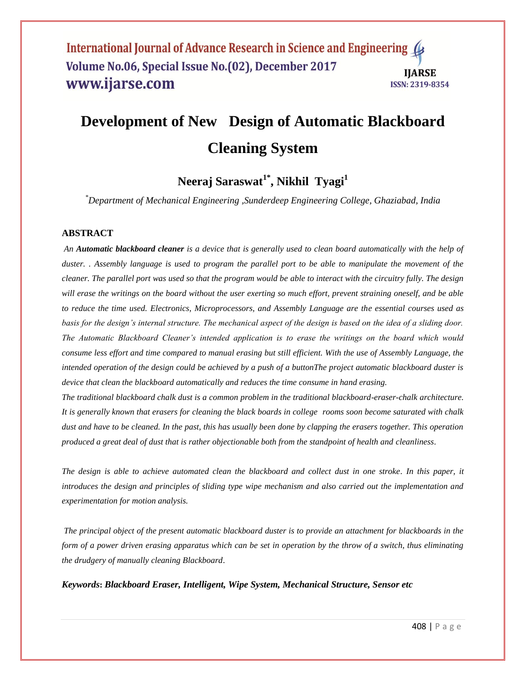# **Development of New Design of Automatic Blackboard Cleaning System**

## **Neeraj Saraswat1\* , Nikhil Tyagi<sup>1</sup>**

*\*Department of Mechanical Engineering ,Sunderdeep Engineering College, Ghaziabad, India*

#### **ABSTRACT**

*An Automatic blackboard cleaner is a device that is generally used to clean board automatically with the help of duster. . Assembly language is used to program the parallel port to be able to manipulate the movement of the cleaner. The parallel port was used so that the program would be able to interact with the circuitry fully. The design will erase the writings on the board without the user exerting so much effort, prevent straining oneself, and be able to reduce the time used. Electronics, Microprocessors, and Assembly Language are the essential courses used as basis for the design's internal structure. The mechanical aspect of the design is based on the idea of a sliding door. The Automatic Blackboard Cleaner's intended application is to erase the writings on the board which would consume less effort and time compared to manual erasing but still efficient. With the use of Assembly Language, the intended operation of the design could be achieved by a push of a buttonThe project automatic blackboard duster is device that clean the blackboard automatically and reduces the time consume in hand erasing.* 

*The traditional blackboard chalk dust is a common problem in the traditional blackboard-eraser-chalk architecture. It is generally known that erasers for cleaning the black boards in college rooms soon become saturated with chalk dust and have to be cleaned. In the past, this has usually been done by clapping the erasers together. This operation produced a great deal of dust that is rather objectionable both from the standpoint of health and cleanliness*.

*The design is able to achieve automated clean the blackboard and collect dust in one stroke. In this paper, it introduces the design and principles of sliding type wipe mechanism and also carried out the implementation and experimentation for motion analysis.*

*The principal object of the present automatic blackboard duster is to provide an attachment for blackboards in the form of a power driven erasing apparatus which can be set in operation by the throw of a switch, thus eliminating the drudgery of manually cleaning Blackboard*.

*Keywords***:** *Blackboard Eraser, Intelligent, Wipe System, Mechanical Structure, Sensor etc*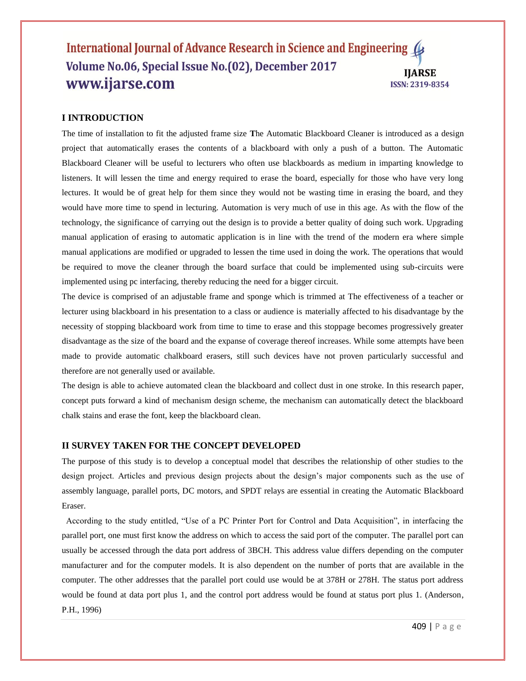### **I INTRODUCTION**

The time of installation to fit the adjusted frame size **T**he Automatic Blackboard Cleaner is introduced as a design project that automatically erases the contents of a blackboard with only a push of a button. The Automatic Blackboard Cleaner will be useful to lecturers who often use blackboards as medium in imparting knowledge to listeners. It will lessen the time and energy required to erase the board, especially for those who have very long lectures. It would be of great help for them since they would not be wasting time in erasing the board, and they would have more time to spend in lecturing. Automation is very much of use in this age. As with the flow of the technology, the significance of carrying out the design is to provide a better quality of doing such work. Upgrading manual application of erasing to automatic application is in line with the trend of the modern era where simple manual applications are modified or upgraded to lessen the time used in doing the work. The operations that would be required to move the cleaner through the board surface that could be implemented using sub-circuits were implemented using pc interfacing, thereby reducing the need for a bigger circuit.

The device is comprised of an adjustable frame and sponge which is trimmed at The effectiveness of a teacher or lecturer using blackboard in his presentation to a class or audience is materially affected to his disadvantage by the necessity of stopping blackboard work from time to time to erase and this stoppage becomes progressively greater disadvantage as the size of the board and the expanse of coverage thereof increases. While some attempts have been made to provide automatic chalkboard erasers, still such devices have not proven particularly successful and therefore are not generally used or available.

The design is able to achieve automated clean the blackboard and collect dust in one stroke. In this research paper, concept puts forward a kind of mechanism design scheme, the mechanism can automatically detect the blackboard chalk stains and erase the font, keep the blackboard clean.

#### **II SURVEY TAKEN FOR THE CONCEPT DEVELOPED**

The purpose of this study is to develop a conceptual model that describes the relationship of other studies to the design project. Articles and previous design projects about the design"s major components such as the use of assembly language, parallel ports, DC motors, and SPDT relays are essential in creating the Automatic Blackboard Eraser.

 According to the study entitled, "Use of a PC Printer Port for Control and Data Acquisition", in interfacing the parallel port, one must first know the address on which to access the said port of the computer. The parallel port can usually be accessed through the data port address of 3BCH. This address value differs depending on the computer manufacturer and for the computer models. It is also dependent on the number of ports that are available in the computer. The other addresses that the parallel port could use would be at 378H or 278H. The status port address would be found at data port plus 1, and the control port address would be found at status port plus 1. (Anderson, P.H., 1996)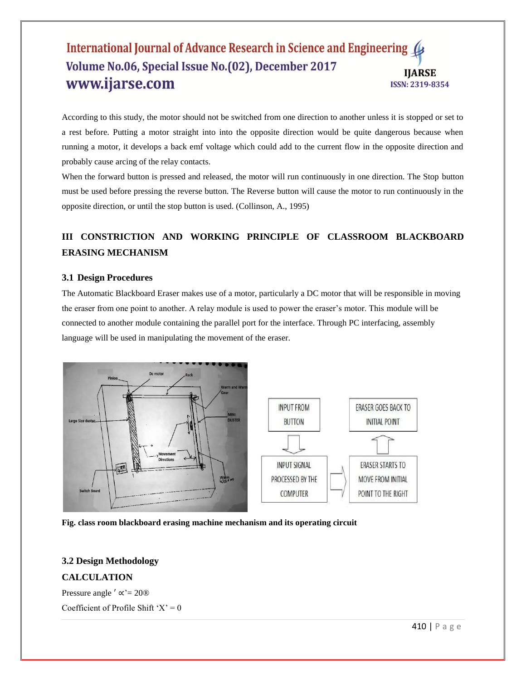According to this study, the motor should not be switched from one direction to another unless it is stopped or set to a rest before. Putting a motor straight into into the opposite direction would be quite dangerous because when running a motor, it develops a back emf voltage which could add to the current flow in the opposite direction and probably cause arcing of the relay contacts.

When the forward button is pressed and released, the motor will run continuously in one direction. The Stop button must be used before pressing the reverse button. The Reverse button will cause the motor to run continuously in the opposite direction, or until the stop button is used. (Collinson, A., 1995)

### **III CONSTRICTION AND WORKING PRINCIPLE OF CLASSROOM BLACKBOARD ERASING MECHANISM**

### **3.1 Design Procedures**

The Automatic Blackboard Eraser makes use of a motor, particularly a DC motor that will be responsible in moving the eraser from one point to another. A relay module is used to power the eraser"s motor. This module will be connected to another module containing the parallel port for the interface. Through PC interfacing, assembly language will be used in manipulating the movement of the eraser.



**Fig. class room blackboard erasing machine mechanism and its operating circuit**

### **3.2 Design Methodology**

### **CALCULATION**

Pressure angle  $' \propto = 20$ <sup>®</sup> Coefficient of Profile Shift ' $X' = 0$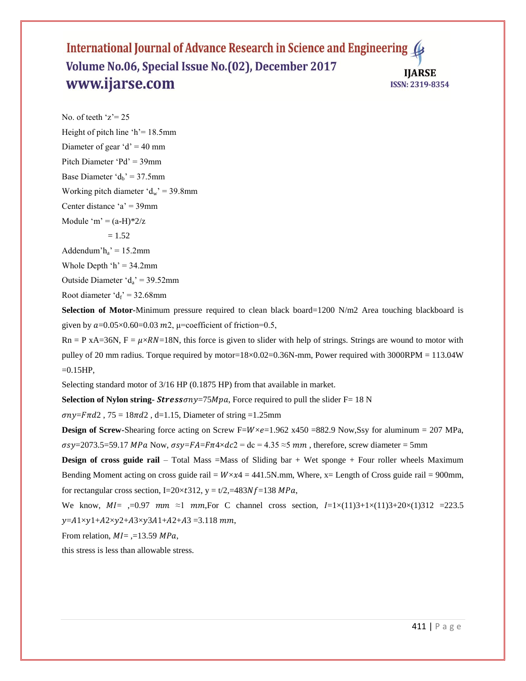No. of teeth  $z = 25$ Height of pitch line 'h'  $= 18.5$ mm Diameter of gear 'd' = 40 mm Pitch Diameter 'Pd' = 39mm Base Diameter  $d_b$ <sup> $\prime$ </sup> = 37.5mm Working pitch diameter  $d_w$ ' = 39.8mm Center distance ' $a' = 39$ mm Module 'm' =  $(a-H)*2/z$  $= 1.52$ Addendum' $h_a$ ' = 15.2mm Whole Depth  $h = 34.2$ mm Outside Diameter  $d_a$ " = 39.52mm

Root diameter ' $d_f$ ' = 32.68mm

**Selection of Motor-**Minimum pressure required to clean black board=1200 N/m2 Area touching blackboard is given by  $a=0.05\times 0.60=0.03$   $m2$ ,  $\mu$ =coefficient of friction=0.5,

 $Rn = P$  xA=36N,  $F = \mu \times RN = 18N$ , this force is given to slider with help of strings. Strings are wound to motor with pulley of 20 mm radius. Torque required by motor=18×0.02=0.36N-mm, Power required with 3000RPM = 113.04W  $=0.15$ HP,

Selecting standard motor of 3/16 HP (0.1875 HP) from that available in market.

**Selection of Nylon string-**  $Stressony=75Mpa$ , Force required to pull the slider F= 18 N

 $\sigma ny = F\pi d2$ ,  $75 = 18\pi d2$ ,  $d=1.15$ , Diameter of string =1.25mm

**Design of Screw-**Shearing force acting on Screw  $F=W \times e=1.962 \times 450 = 882.9 \text{ Now,}$ Ssy for aluminum = 207 MPa,  $\sigma$ sy=2073.5=59.17 MPa Now,  $\sigma$ sy=FA=F $\pi$ 4×dc2 = dc = 4.35 ≈5 mm, therefore, screw diameter = 5mm

**Design of cross guide rail** – Total Mass =Mass of Sliding bar + Wet sponge + Four roller wheels Maximum Bending Moment acting on cross guide rail =  $W \times x^4 = 441.5N$  mm, Where, x= Length of Cross guide rail = 900mm, for rectangular cross section, I=20× $t312$ , y =  $t/2$ ,=483Nf=138 MPa,

We know,  $MI = -0.97$  mm  $\approx 1$  mm, For C channel cross section,  $I = 1 \times (11)3 + 1 \times (11)3 + 20 \times (1)312 = 223.5$  $y = A1 \times y1 + A2 \times y2 + A3 \times y3A1 + A2 + A3 = 3.118$  mm,

From relation,  $MI = -13.59$   $MPa$ ,

this stress is less than allowable stress.